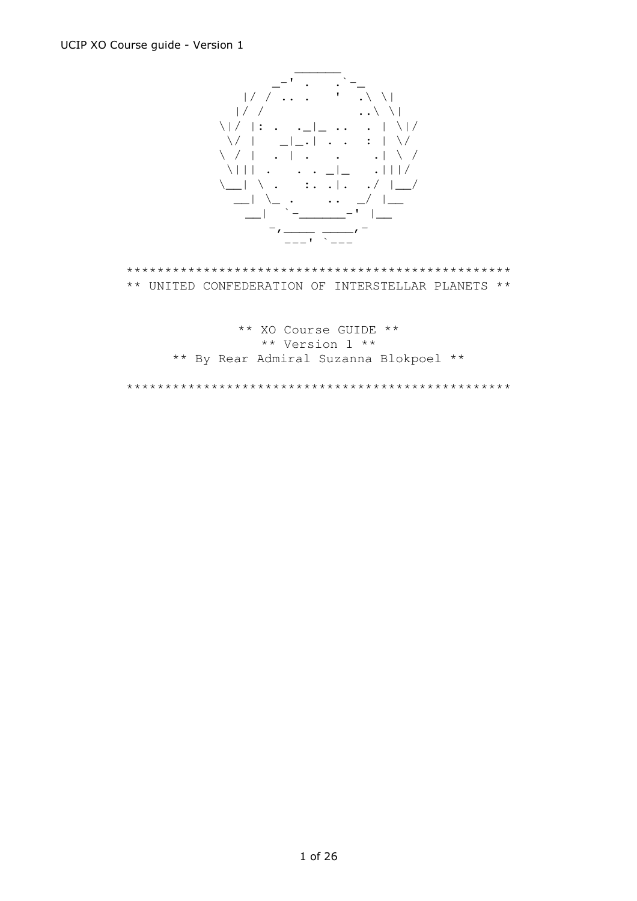

\*\*\*\*\*\*\*\*\*\*\*\*\*\*\*\*\*\*\*\*\*\*\*\*\*\*\*\*\*\*\*\*\*\*\*\*\*\*\*\*\*\*\*\*\*\*\*\*\*\* \*\* UNITED CONFEDERATION OF INTERSTELLAR PLANETS \*\*

> \*\* XO Course GUIDE \*\* \*\* Version 1 \*\* \*\* By Rear Admiral Suzanna Blokpoel \*\*

\*\*\*\*\*\*\*\*\*\*\*\*\*\*\*\*\*\*\*\*\*\*\*\*\*\*\*\*\*\*\*\*\*\*\*\*\*\*\*\*\*\*\*\*\*\*\*\*\*\*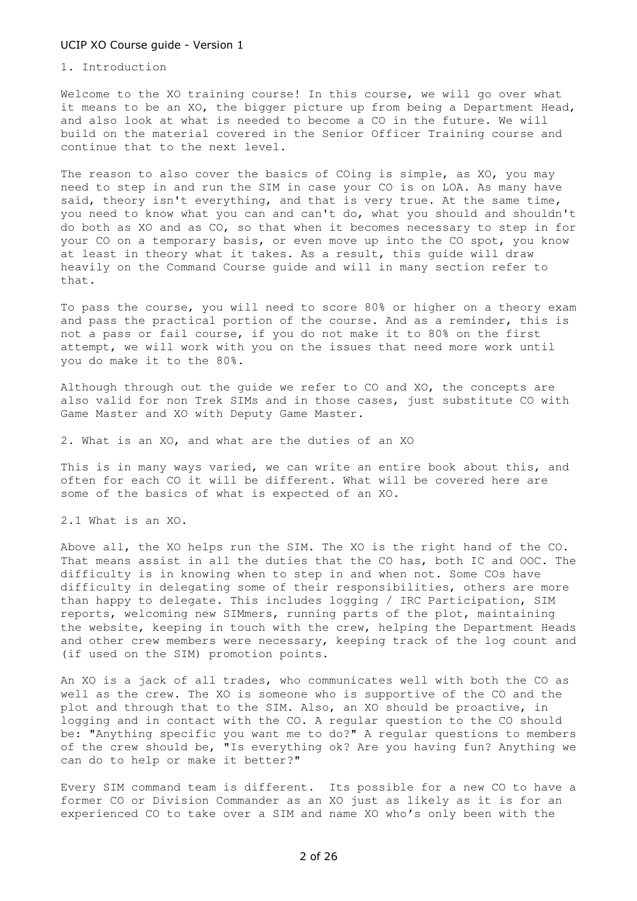# 1. Introduction

Welcome to the XO training course! In this course, we will go over what it means to be an XO, the bigger picture up from being a Department Head, and also look at what is needed to become a CO in the future. We will build on the material covered in the Senior Officer Training course and continue that to the next level.

The reason to also cover the basics of COing is simple, as XO, you may need to step in and run the SIM in case your CO is on LOA. As many have said, theory isn't everything, and that is very true. At the same time, you need to know what you can and can't do, what you should and shouldn't do both as XO and as CO, so that when it becomes necessary to step in for your CO on a temporary basis, or even move up into the CO spot, you know at least in theory what it takes. As a result, this guide will draw heavily on the Command Course guide and will in many section refer to that.

To pass the course, you will need to score 80% or higher on a theory exam and pass the practical portion of the course. And as a reminder, this is not a pass or fail course, if you do not make it to 80% on the first attempt, we will work with you on the issues that need more work until you do make it to the 80%.

Although through out the guide we refer to CO and XO, the concepts are also valid for non Trek SIMs and in those cases, just substitute CO with Game Master and XO with Deputy Game Master.

2. What is an XO, and what are the duties of an XO

This is in many ways varied, we can write an entire book about this, and often for each CO it will be different. What will be covered here are some of the basics of what is expected of an XO.

2.1 What is an XO.

Above all, the XO helps run the SIM. The XO is the right hand of the CO. That means assist in all the duties that the CO has, both IC and OOC. The difficulty is in knowing when to step in and when not. Some COs have difficulty in delegating some of their responsibilities, others are more than happy to delegate. This includes logging / IRC Participation, SIM reports, welcoming new SIMmers, running parts of the plot, maintaining the website, keeping in touch with the crew, helping the Department Heads and other crew members were necessary, keeping track of the log count and (if used on the SIM) promotion points.

An XO is a jack of all trades, who communicates well with both the CO as well as the crew. The XO is someone who is supportive of the CO and the plot and through that to the SIM. Also, an XO should be proactive, in logging and in contact with the CO. A regular question to the CO should be: "Anything specific you want me to do?" A regular questions to members of the crew should be, "Is everything ok? Are you having fun? Anything we can do to help or make it better?"

Every SIM command team is different. Its possible for a new CO to have a former CO or Division Commander as an XO just as likely as it is for an experienced CO to take over a SIM and name XO who's only been with the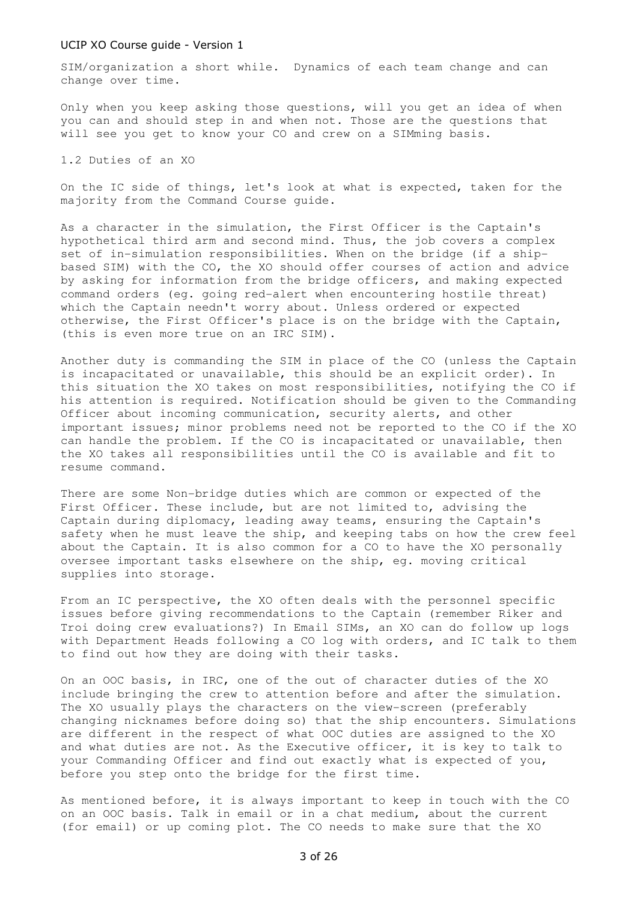SIM/organization a short while. Dynamics of each team change and can change over time.

Only when you keep asking those questions, will you get an idea of when you can and should step in and when not. Those are the questions that will see you get to know your CO and crew on a SIMming basis.

1.2 Duties of an XO

On the IC side of things, let's look at what is expected, taken for the majority from the Command Course guide.

As a character in the simulation, the First Officer is the Captain's hypothetical third arm and second mind. Thus, the job covers a complex set of in-simulation responsibilities. When on the bridge (if a shipbased SIM) with the CO, the XO should offer courses of action and advice by asking for information from the bridge officers, and making expected command orders (eg. going red-alert when encountering hostile threat) which the Captain needn't worry about. Unless ordered or expected otherwise, the First Officer's place is on the bridge with the Captain, (this is even more true on an IRC SIM).

Another duty is commanding the SIM in place of the CO (unless the Captain is incapacitated or unavailable, this should be an explicit order). In this situation the XO takes on most responsibilities, notifying the CO if his attention is required. Notification should be given to the Commanding Officer about incoming communication, security alerts, and other important issues; minor problems need not be reported to the CO if the XO can handle the problem. If the CO is incapacitated or unavailable, then the XO takes all responsibilities until the CO is available and fit to resume command.

There are some Non-bridge duties which are common or expected of the First Officer. These include, but are not limited to, advising the Captain during diplomacy, leading away teams, ensuring the Captain's safety when he must leave the ship, and keeping tabs on how the crew feel about the Captain. It is also common for a CO to have the XO personally oversee important tasks elsewhere on the ship, eg. moving critical supplies into storage.

From an IC perspective, the XO often deals with the personnel specific issues before giving recommendations to the Captain (remember Riker and Troi doing crew evaluations?) In Email SIMs, an XO can do follow up logs with Department Heads following a CO log with orders, and IC talk to them to find out how they are doing with their tasks.

On an OOC basis, in IRC, one of the out of character duties of the XO include bringing the crew to attention before and after the simulation. The XO usually plays the characters on the view-screen (preferably changing nicknames before doing so) that the ship encounters. Simulations are different in the respect of what OOC duties are assigned to the XO and what duties are not. As the Executive officer, it is key to talk to your Commanding Officer and find out exactly what is expected of you, before you step onto the bridge for the first time.

As mentioned before, it is always important to keep in touch with the CO on an OOC basis. Talk in email or in a chat medium, about the current (for email) or up coming plot. The CO needs to make sure that the XO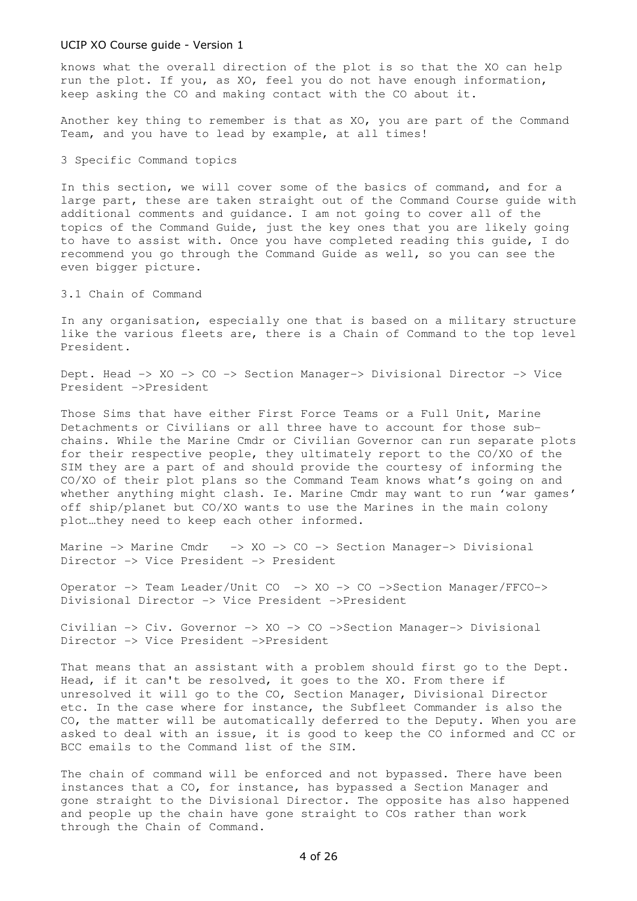knows what the overall direction of the plot is so that the XO can help run the plot. If you, as XO, feel you do not have enough information, keep asking the CO and making contact with the CO about it.

Another key thing to remember is that as XO, you are part of the Command Team, and you have to lead by example, at all times!

3 Specific Command topics

In this section, we will cover some of the basics of command, and for a large part, these are taken straight out of the Command Course guide with additional comments and guidance. I am not going to cover all of the topics of the Command Guide, just the key ones that you are likely going to have to assist with. Once you have completed reading this guide, I do recommend you go through the Command Guide as well, so you can see the even bigger picture.

3.1 Chain of Command

In any organisation, especially one that is based on a military structure like the various fleets are, there is a Chain of Command to the top level President.

Dept. Head -> XO -> CO -> Section Manager-> Divisional Director -> Vice President ->President

Those Sims that have either First Force Teams or a Full Unit, Marine Detachments or Civilians or all three have to account for those subchains. While the Marine Cmdr or Civilian Governor can run separate plots for their respective people, they ultimately report to the CO/XO of the SIM they are a part of and should provide the courtesy of informing the CO/XO of their plot plans so the Command Team knows what's going on and whether anything might clash. Ie. Marine Cmdr may want to run 'war games' off ship/planet but CO/XO wants to use the Marines in the main colony plot…they need to keep each other informed.

Marine -> Marine Cmdr -> XO -> CO -> Section Manager-> Divisional Director -> Vice President -> President

Operator -> Team Leader/Unit CO -> XO -> CO ->Section Manager/FFCO-> Divisional Director -> Vice President ->President

Civilian -> Civ. Governor -> XO -> CO ->Section Manager-> Divisional Director -> Vice President ->President

That means that an assistant with a problem should first go to the Dept. Head, if it can't be resolved, it goes to the XO. From there if unresolved it will go to the CO, Section Manager, Divisional Director etc. In the case where for instance, the Subfleet Commander is also the CO, the matter will be automatically deferred to the Deputy. When you are asked to deal with an issue, it is good to keep the CO informed and CC or BCC emails to the Command list of the SIM.

The chain of command will be enforced and not bypassed. There have been instances that a CO, for instance, has bypassed a Section Manager and gone straight to the Divisional Director. The opposite has also happened and people up the chain have gone straight to COs rather than work through the Chain of Command.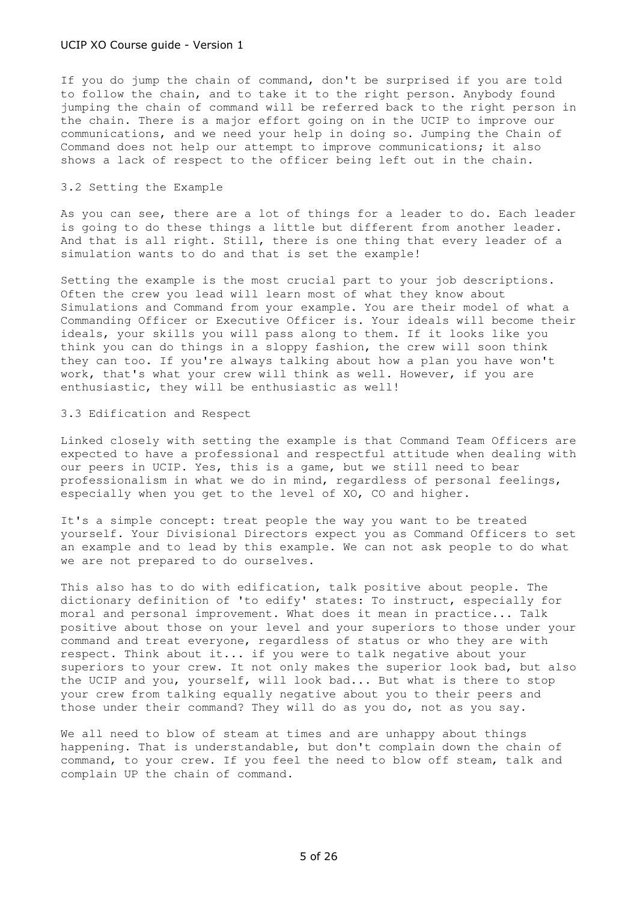If you do jump the chain of command, don't be surprised if you are told to follow the chain, and to take it to the right person. Anybody found jumping the chain of command will be referred back to the right person in the chain. There is a major effort going on in the UCIP to improve our communications, and we need your help in doing so. Jumping the Chain of Command does not help our attempt to improve communications; it also shows a lack of respect to the officer being left out in the chain.

# 3.2 Setting the Example

As you can see, there are a lot of things for a leader to do. Each leader is going to do these things a little but different from another leader. And that is all right. Still, there is one thing that every leader of a simulation wants to do and that is set the example!

Setting the example is the most crucial part to your job descriptions. Often the crew you lead will learn most of what they know about Simulations and Command from your example. You are their model of what a Commanding Officer or Executive Officer is. Your ideals will become their ideals, your skills you will pass along to them. If it looks like you think you can do things in a sloppy fashion, the crew will soon think they can too. If you're always talking about how a plan you have won't work, that's what your crew will think as well. However, if you are enthusiastic, they will be enthusiastic as well!

#### 3.3 Edification and Respect

Linked closely with setting the example is that Command Team Officers are expected to have a professional and respectful attitude when dealing with our peers in UCIP. Yes, this is a game, but we still need to bear professionalism in what we do in mind, regardless of personal feelings, especially when you get to the level of XO, CO and higher.

It's a simple concept: treat people the way you want to be treated yourself. Your Divisional Directors expect you as Command Officers to set an example and to lead by this example. We can not ask people to do what we are not prepared to do ourselves.

This also has to do with edification, talk positive about people. The dictionary definition of 'to edify' states: To instruct, especially for moral and personal improvement. What does it mean in practice... Talk positive about those on your level and your superiors to those under your command and treat everyone, regardless of status or who they are with respect. Think about it... if you were to talk negative about your superiors to your crew. It not only makes the superior look bad, but also the UCIP and you, yourself, will look bad... But what is there to stop your crew from talking equally negative about you to their peers and those under their command? They will do as you do, not as you say.

We all need to blow of steam at times and are unhappy about things happening. That is understandable, but don't complain down the chain of command, to your crew. If you feel the need to blow off steam, talk and complain UP the chain of command.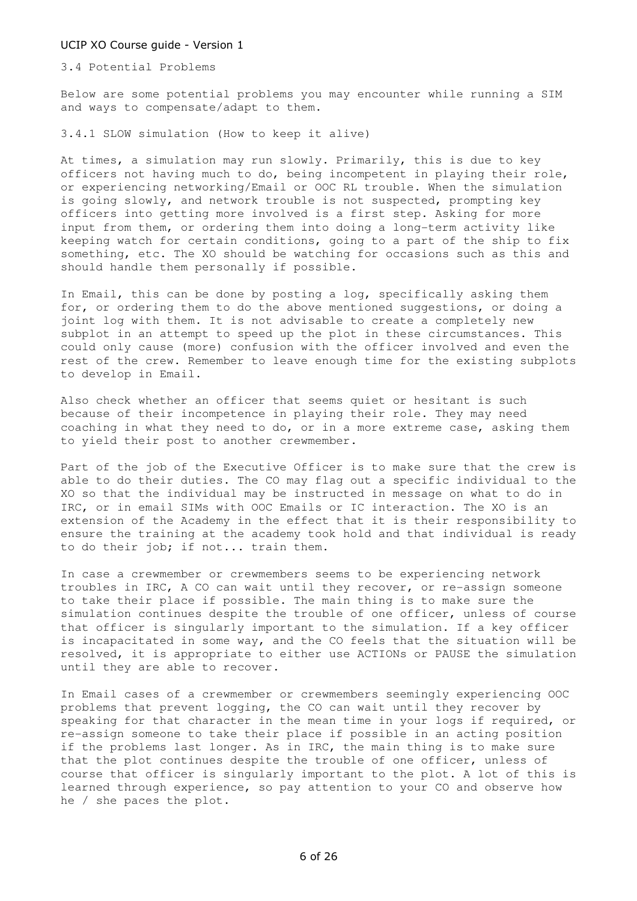3.4 Potential Problems

Below are some potential problems you may encounter while running a SIM and ways to compensate/adapt to them.

3.4.1 SLOW simulation (How to keep it alive)

At times, a simulation may run slowly. Primarily, this is due to key officers not having much to do, being incompetent in playing their role, or experiencing networking/Email or OOC RL trouble. When the simulation is going slowly, and network trouble is not suspected, prompting key officers into getting more involved is a first step. Asking for more input from them, or ordering them into doing a long-term activity like keeping watch for certain conditions, going to a part of the ship to fix something, etc. The XO should be watching for occasions such as this and should handle them personally if possible.

In Email, this can be done by posting a log, specifically asking them for, or ordering them to do the above mentioned suggestions, or doing a joint log with them. It is not advisable to create a completely new subplot in an attempt to speed up the plot in these circumstances. This could only cause (more) confusion with the officer involved and even the rest of the crew. Remember to leave enough time for the existing subplots to develop in Email.

Also check whether an officer that seems quiet or hesitant is such because of their incompetence in playing their role. They may need coaching in what they need to do, or in a more extreme case, asking them to yield their post to another crewmember.

Part of the job of the Executive Officer is to make sure that the crew is able to do their duties. The CO may flag out a specific individual to the XO so that the individual may be instructed in message on what to do in IRC, or in email SIMs with OOC Emails or IC interaction. The XO is an extension of the Academy in the effect that it is their responsibility to ensure the training at the academy took hold and that individual is ready to do their job; if not... train them.

In case a crewmember or crewmembers seems to be experiencing network troubles in IRC, A CO can wait until they recover, or re-assign someone to take their place if possible. The main thing is to make sure the simulation continues despite the trouble of one officer, unless of course that officer is singularly important to the simulation. If a key officer is incapacitated in some way, and the CO feels that the situation will be resolved, it is appropriate to either use ACTIONs or PAUSE the simulation until they are able to recover.

In Email cases of a crewmember or crewmembers seemingly experiencing OOC problems that prevent logging, the CO can wait until they recover by speaking for that character in the mean time in your logs if required, or re-assign someone to take their place if possible in an acting position if the problems last longer. As in IRC, the main thing is to make sure that the plot continues despite the trouble of one officer, unless of course that officer is singularly important to the plot. A lot of this is learned through experience, so pay attention to your CO and observe how he / she paces the plot.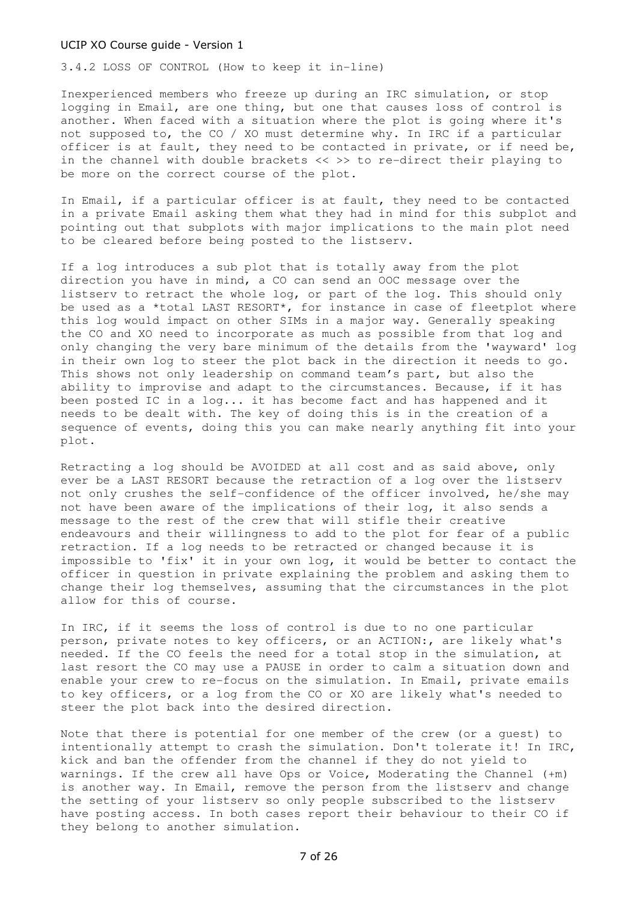3.4.2 LOSS OF CONTROL (How to keep it in-line)

Inexperienced members who freeze up during an IRC simulation, or stop logging in Email, are one thing, but one that causes loss of control is another. When faced with a situation where the plot is going where it's not supposed to, the CO / XO must determine why. In IRC if a particular officer is at fault, they need to be contacted in private, or if need be, in the channel with double brackets << >> to re-direct their playing to be more on the correct course of the plot.

In Email, if a particular officer is at fault, they need to be contacted in a private Email asking them what they had in mind for this subplot and pointing out that subplots with major implications to the main plot need to be cleared before being posted to the listserv.

If a log introduces a sub plot that is totally away from the plot direction you have in mind, a CO can send an OOC message over the listserv to retract the whole log, or part of the log. This should only be used as a \*total LAST RESORT\*, for instance in case of fleetplot where this log would impact on other SIMs in a major way. Generally speaking the CO and XO need to incorporate as much as possible from that log and only changing the very bare minimum of the details from the 'wayward' log in their own log to steer the plot back in the direction it needs to go. This shows not only leadership on command team's part, but also the ability to improvise and adapt to the circumstances. Because, if it has been posted IC in a log... it has become fact and has happened and it needs to be dealt with. The key of doing this is in the creation of a sequence of events, doing this you can make nearly anything fit into your plot.

Retracting a log should be AVOIDED at all cost and as said above, only ever be a LAST RESORT because the retraction of a log over the listserv not only crushes the self-confidence of the officer involved, he/she may not have been aware of the implications of their log, it also sends a message to the rest of the crew that will stifle their creative endeavours and their willingness to add to the plot for fear of a public retraction. If a log needs to be retracted or changed because it is impossible to 'fix' it in your own log, it would be better to contact the officer in question in private explaining the problem and asking them to change their log themselves, assuming that the circumstances in the plot allow for this of course.

In IRC, if it seems the loss of control is due to no one particular person, private notes to key officers, or an ACTION:, are likely what's needed. If the CO feels the need for a total stop in the simulation, at last resort the CO may use a PAUSE in order to calm a situation down and enable your crew to re-focus on the simulation. In Email, private emails to key officers, or a log from the CO or XO are likely what's needed to steer the plot back into the desired direction.

Note that there is potential for one member of the crew (or a guest) to intentionally attempt to crash the simulation. Don't tolerate it! In IRC, kick and ban the offender from the channel if they do not yield to warnings. If the crew all have Ops or Voice, Moderating the Channel (+m) is another way. In Email, remove the person from the listserv and change the setting of your listserv so only people subscribed to the listserv have posting access. In both cases report their behaviour to their CO if they belong to another simulation.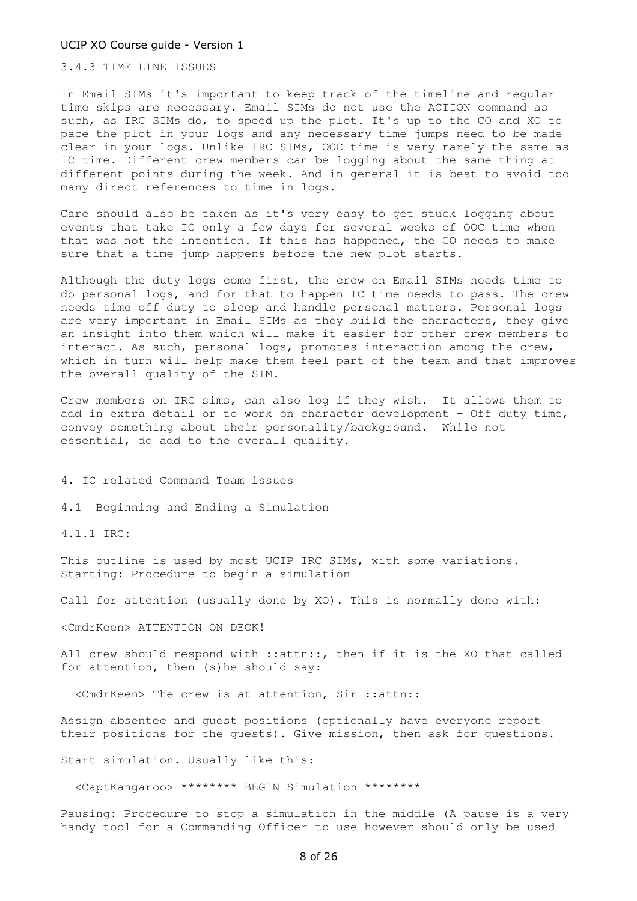3.4.3 TIME LINE ISSUES

In Email SIMs it's important to keep track of the timeline and regular time skips are necessary. Email SIMs do not use the ACTION command as such, as IRC SIMs do, to speed up the plot. It's up to the CO and XO to pace the plot in your logs and any necessary time jumps need to be made clear in your logs. Unlike IRC SIMs, OOC time is very rarely the same as IC time. Different crew members can be logging about the same thing at different points during the week. And in general it is best to avoid too many direct references to time in logs.

Care should also be taken as it's very easy to get stuck logging about events that take IC only a few days for several weeks of OOC time when that was not the intention. If this has happened, the CO needs to make sure that a time jump happens before the new plot starts.

Although the duty logs come first, the crew on Email SIMs needs time to do personal logs, and for that to happen IC time needs to pass. The crew needs time off duty to sleep and handle personal matters. Personal logs are very important in Email SIMs as they build the characters, they give an insight into them which will make it easier for other crew members to interact. As such, personal logs, promotes interaction among the crew, which in turn will help make them feel part of the team and that improves the overall quality of the SIM.

Crew members on IRC sims, can also log if they wish. It allows them to add in extra detail or to work on character development – Off duty time, convey something about their personality/background. While not essential, do add to the overall quality.

4. IC related Command Team issues

4.1 Beginning and Ending a Simulation

4.1.1 IRC:

This outline is used by most UCIP IRC SIMs, with some variations. Starting: Procedure to begin a simulation

Call for attention (usually done by XO). This is normally done with:

<CmdrKeen> ATTENTION ON DECK!

All crew should respond with ::attn::, then if it is the XO that called for attention, then (s)he should say:

<CmdrKeen> The crew is at attention, Sir ::attn::

Assign absentee and guest positions (optionally have everyone report their positions for the guests). Give mission, then ask for questions.

Start simulation. Usually like this:

<CaptKangaroo> \*\*\*\*\*\*\*\* BEGIN Simulation \*\*\*\*\*\*\*\*

Pausing: Procedure to stop a simulation in the middle (A pause is a very handy tool for a Commanding Officer to use however should only be used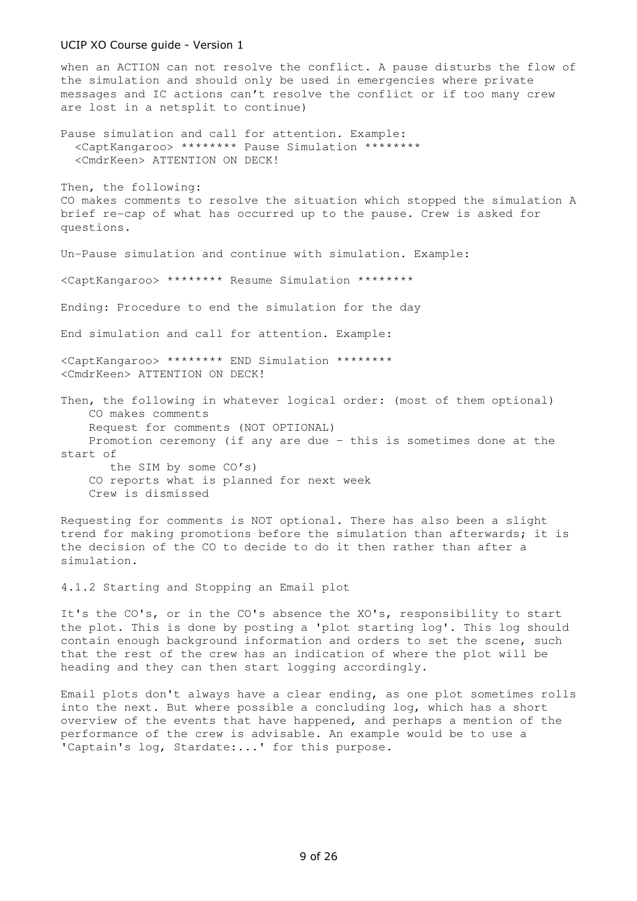when an ACTION can not resolve the conflict. A pause disturbs the flow of the simulation and should only be used in emergencies where private messages and IC actions can't resolve the conflict or if too many crew are lost in a netsplit to continue)

Pause simulation and call for attention. Example: <CaptKangaroo> \*\*\*\*\*\*\*\* Pause Simulation \*\*\*\*\*\*\*\* <CmdrKeen> ATTENTION ON DECK!

Then, the following: CO makes comments to resolve the situation which stopped the simulation A brief re-cap of what has occurred up to the pause. Crew is asked for questions.

Un-Pause simulation and continue with simulation. Example:

<CaptKangaroo> \*\*\*\*\*\*\*\* Resume Simulation \*\*\*\*\*\*\*\*

Ending: Procedure to end the simulation for the day

End simulation and call for attention. Example:

<CaptKangaroo> \*\*\*\*\*\*\*\* END Simulation \*\*\*\*\*\*\*\* <CmdrKeen> ATTENTION ON DECK!

Then, the following in whatever logical order: (most of them optional) CO makes comments Request for comments (NOT OPTIONAL) Promotion ceremony (if any are due – this is sometimes done at the start of the SIM by some CO's) CO reports what is planned for next week Crew is dismissed

Requesting for comments is NOT optional. There has also been a slight trend for making promotions before the simulation than afterwards; it is the decision of the CO to decide to do it then rather than after a simulation.

4.1.2 Starting and Stopping an Email plot

It's the CO's, or in the CO's absence the XO's, responsibility to start the plot. This is done by posting a 'plot starting log'. This log should contain enough background information and orders to set the scene, such that the rest of the crew has an indication of where the plot will be heading and they can then start logging accordingly.

Email plots don't always have a clear ending, as one plot sometimes rolls into the next. But where possible a concluding log, which has a short overview of the events that have happened, and perhaps a mention of the performance of the crew is advisable. An example would be to use a 'Captain's log, Stardate:...' for this purpose.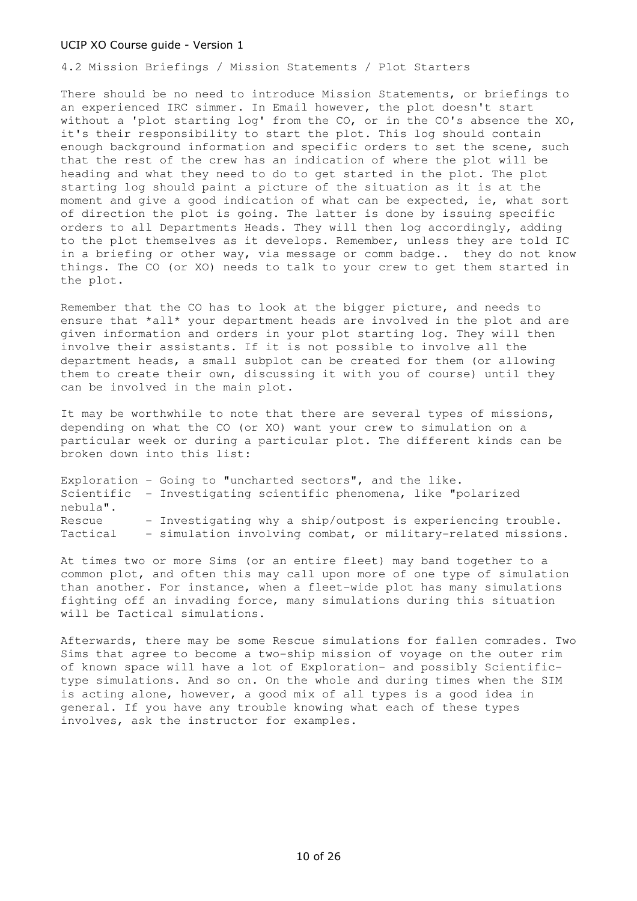4.2 Mission Briefings / Mission Statements / Plot Starters

There should be no need to introduce Mission Statements, or briefings to an experienced IRC simmer. In Email however, the plot doesn't start without a 'plot starting log' from the CO, or in the CO's absence the XO, it's their responsibility to start the plot. This log should contain enough background information and specific orders to set the scene, such that the rest of the crew has an indication of where the plot will be heading and what they need to do to get started in the plot. The plot starting log should paint a picture of the situation as it is at the moment and give a good indication of what can be expected, ie, what sort of direction the plot is going. The latter is done by issuing specific orders to all Departments Heads. They will then log accordingly, adding to the plot themselves as it develops. Remember, unless they are told IC in a briefing or other way, via message or comm badge.. they do not know things. The CO (or XO) needs to talk to your crew to get them started in the plot.

Remember that the CO has to look at the bigger picture, and needs to ensure that \*all\* your department heads are involved in the plot and are given information and orders in your plot starting log. They will then involve their assistants. If it is not possible to involve all the department heads, a small subplot can be created for them (or allowing them to create their own, discussing it with you of course) until they can be involved in the main plot.

It may be worthwhile to note that there are several types of missions, depending on what the CO (or XO) want your crew to simulation on a particular week or during a particular plot. The different kinds can be broken down into this list:

Exploration - Going to "uncharted sectors", and the like. Scientific - Investigating scientific phenomena, like "polarized nebula". Rescue - Investigating why a ship/outpost is experiencing trouble. Tactical - simulation involving combat, or military-related missions.

At times two or more Sims (or an entire fleet) may band together to a common plot, and often this may call upon more of one type of simulation than another. For instance, when a fleet-wide plot has many simulations fighting off an invading force, many simulations during this situation will be Tactical simulations.

Afterwards, there may be some Rescue simulations for fallen comrades. Two Sims that agree to become a two-ship mission of voyage on the outer rim of known space will have a lot of Exploration- and possibly Scientifictype simulations. And so on. On the whole and during times when the SIM is acting alone, however, a good mix of all types is a good idea in general. If you have any trouble knowing what each of these types involves, ask the instructor for examples.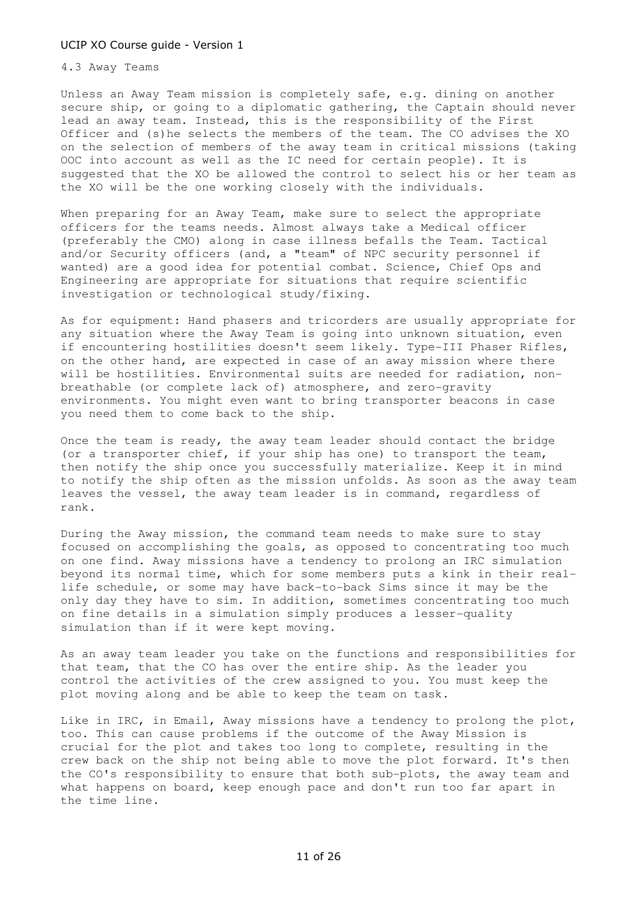# 4.3 Away Teams

Unless an Away Team mission is completely safe, e.g. dining on another secure ship, or going to a diplomatic gathering, the Captain should never lead an away team. Instead, this is the responsibility of the First Officer and (s)he selects the members of the team. The CO advises the XO on the selection of members of the away team in critical missions (taking OOC into account as well as the IC need for certain people). It is suggested that the XO be allowed the control to select his or her team as the XO will be the one working closely with the individuals.

When preparing for an Away Team, make sure to select the appropriate officers for the teams needs. Almost always take a Medical officer (preferably the CMO) along in case illness befalls the Team. Tactical and/or Security officers (and, a "team" of NPC security personnel if wanted) are a good idea for potential combat. Science, Chief Ops and Engineering are appropriate for situations that require scientific investigation or technological study/fixing.

As for equipment: Hand phasers and tricorders are usually appropriate for any situation where the Away Team is going into unknown situation, even if encountering hostilities doesn't seem likely. Type-III Phaser Rifles, on the other hand, are expected in case of an away mission where there will be hostilities. Environmental suits are needed for radiation, nonbreathable (or complete lack of) atmosphere, and zero-gravity environments. You might even want to bring transporter beacons in case you need them to come back to the ship.

Once the team is ready, the away team leader should contact the bridge (or a transporter chief, if your ship has one) to transport the team, then notify the ship once you successfully materialize. Keep it in mind to notify the ship often as the mission unfolds. As soon as the away team leaves the vessel, the away team leader is in command, regardless of rank.

During the Away mission, the command team needs to make sure to stay focused on accomplishing the goals, as opposed to concentrating too much on one find. Away missions have a tendency to prolong an IRC simulation beyond its normal time, which for some members puts a kink in their reallife schedule, or some may have back-to-back Sims since it may be the only day they have to sim. In addition, sometimes concentrating too much on fine details in a simulation simply produces a lesser-quality simulation than if it were kept moving.

As an away team leader you take on the functions and responsibilities for that team, that the CO has over the entire ship. As the leader you control the activities of the crew assigned to you. You must keep the plot moving along and be able to keep the team on task.

Like in IRC, in Email, Away missions have a tendency to prolong the plot, too. This can cause problems if the outcome of the Away Mission is crucial for the plot and takes too long to complete, resulting in the crew back on the ship not being able to move the plot forward. It's then the CO's responsibility to ensure that both sub-plots, the away team and what happens on board, keep enough pace and don't run too far apart in the time line.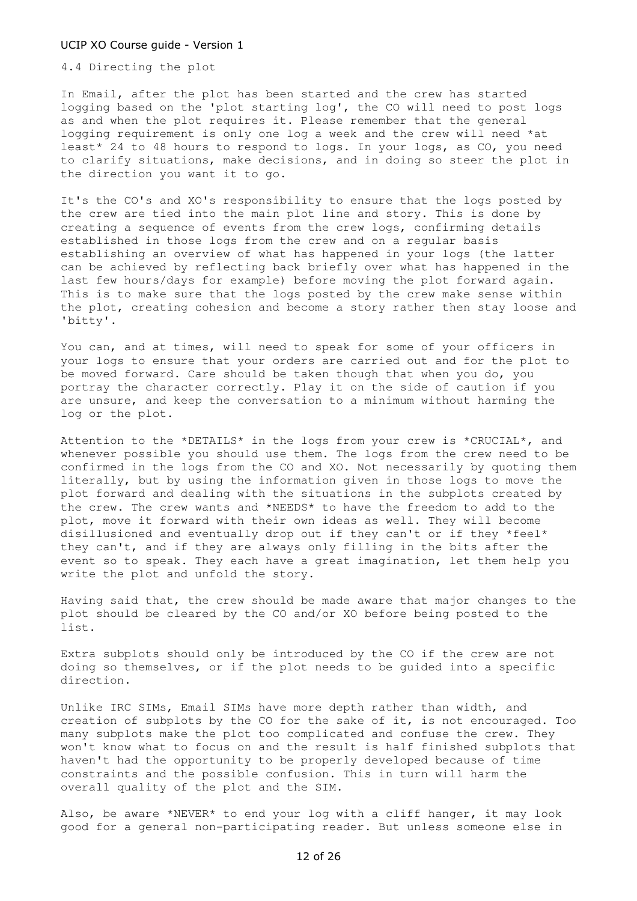4.4 Directing the plot

In Email, after the plot has been started and the crew has started logging based on the 'plot starting log', the CO will need to post logs as and when the plot requires it. Please remember that the general logging requirement is only one log a week and the crew will need \*at least\* 24 to 48 hours to respond to logs. In your logs, as CO, you need to clarify situations, make decisions, and in doing so steer the plot in the direction you want it to go.

It's the CO's and XO's responsibility to ensure that the logs posted by the crew are tied into the main plot line and story. This is done by creating a sequence of events from the crew logs, confirming details established in those logs from the crew and on a regular basis establishing an overview of what has happened in your logs (the latter can be achieved by reflecting back briefly over what has happened in the last few hours/days for example) before moving the plot forward again. This is to make sure that the logs posted by the crew make sense within the plot, creating cohesion and become a story rather then stay loose and 'bitty'.

You can, and at times, will need to speak for some of your officers in your logs to ensure that your orders are carried out and for the plot to be moved forward. Care should be taken though that when you do, you portray the character correctly. Play it on the side of caution if you are unsure, and keep the conversation to a minimum without harming the log or the plot.

Attention to the \*DETAILS\* in the logs from your crew is \*CRUCIAL\*, and whenever possible you should use them. The logs from the crew need to be confirmed in the logs from the CO and XO. Not necessarily by quoting them literally, but by using the information given in those logs to move the plot forward and dealing with the situations in the subplots created by the crew. The crew wants and \*NEEDS\* to have the freedom to add to the plot, move it forward with their own ideas as well. They will become disillusioned and eventually drop out if they can't or if they \*feel\* they can't, and if they are always only filling in the bits after the event so to speak. They each have a great imagination, let them help you write the plot and unfold the story.

Having said that, the crew should be made aware that major changes to the plot should be cleared by the CO and/or XO before being posted to the list.

Extra subplots should only be introduced by the CO if the crew are not doing so themselves, or if the plot needs to be guided into a specific direction.

Unlike IRC SIMs, Email SIMs have more depth rather than width, and creation of subplots by the CO for the sake of it, is not encouraged. Too many subplots make the plot too complicated and confuse the crew. They won't know what to focus on and the result is half finished subplots that haven't had the opportunity to be properly developed because of time constraints and the possible confusion. This in turn will harm the overall quality of the plot and the SIM.

Also, be aware \*NEVER\* to end your log with a cliff hanger, it may look good for a general non-participating reader. But unless someone else in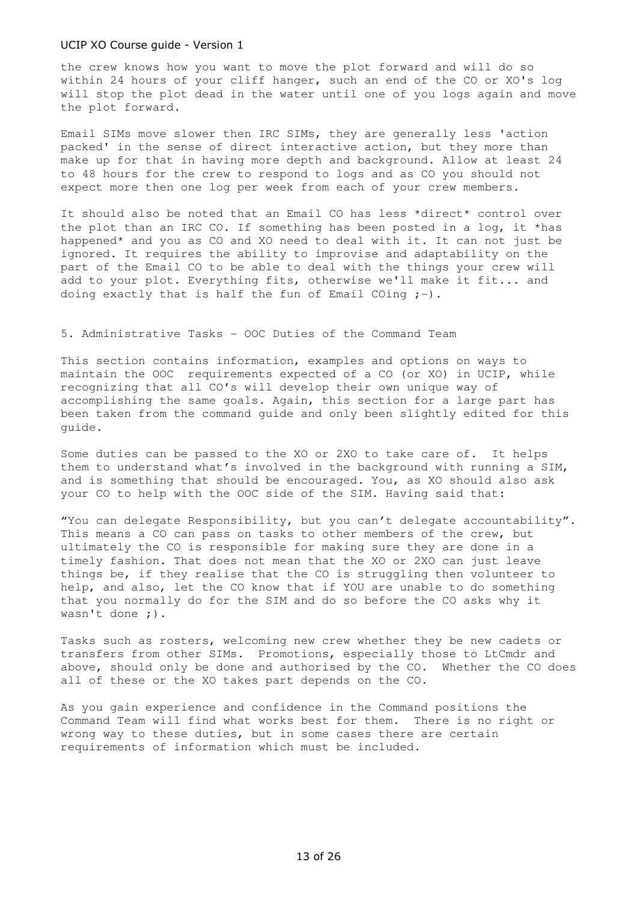the crew knows how you want to move the plot forward and will do so within 24 hours of your cliff hanger, such an end of the CO or XO's log will stop the plot dead in the water until one of you logs again and move the plot forward.

Email SIMs move slower then IRC SIMs, they are generally less 'action packed' in the sense of direct interactive action, but they more than make up for that in having more depth and background. Allow at least 24 to 48 hours for the crew to respond to logs and as CO you should not expect more then one log per week from each of your crew members.

It should also be noted that an Email CO has less \*direct\* control over the plot than an IRC CO. If something has been posted in a log, it \*has happened\* and you as CO and XO need to deal with it. It can not just be ignored. It requires the ability to improvise and adaptability on the part of the Email CO to be able to deal with the things your crew will add to your plot. Everything fits, otherwise we'll make it fit... and doing exactly that is half the fun of Email COing  $;$ -).

# 5. Administrative Tasks - OOC Duties of the Command Team

This section contains information, examples and options on ways to maintain the OOC requirements expected of a CO (or XO) in UCIP, while recognizing that all CO's will develop their own unique way of accomplishing the same goals. Again, this section for a large part has been taken from the command guide and only been slightly edited for this guide.

Some duties can be passed to the XO or 2XO to take care of. It helps them to understand what's involved in the background with running a SIM, and is something that should be encouraged. You, as XO should also ask your CO to help with the OOC side of the SIM. Having said that:

"You can delegate Responsibility, but you can't delegate accountability". This means a CO can pass on tasks to other members of the crew, but ultimately the CO is responsible for making sure they are done in a timely fashion. That does not mean that the XO or 2XO can just leave things be, if they realise that the CO is struggling then volunteer to help, and also, let the CO know that if YOU are unable to do something that you normally do for the SIM and do so before the CO asks why it wasn't done ;).

Tasks such as rosters, welcoming new crew whether they be new cadets or transfers from other SIMs. Promotions, especially those to LtCmdr and above, should only be done and authorised by the CO. Whether the CO does all of these or the XO takes part depends on the CO.

As you gain experience and confidence in the Command positions the Command Team will find what works best for them. There is no right or wrong way to these duties, but in some cases there are certain requirements of information which must be included.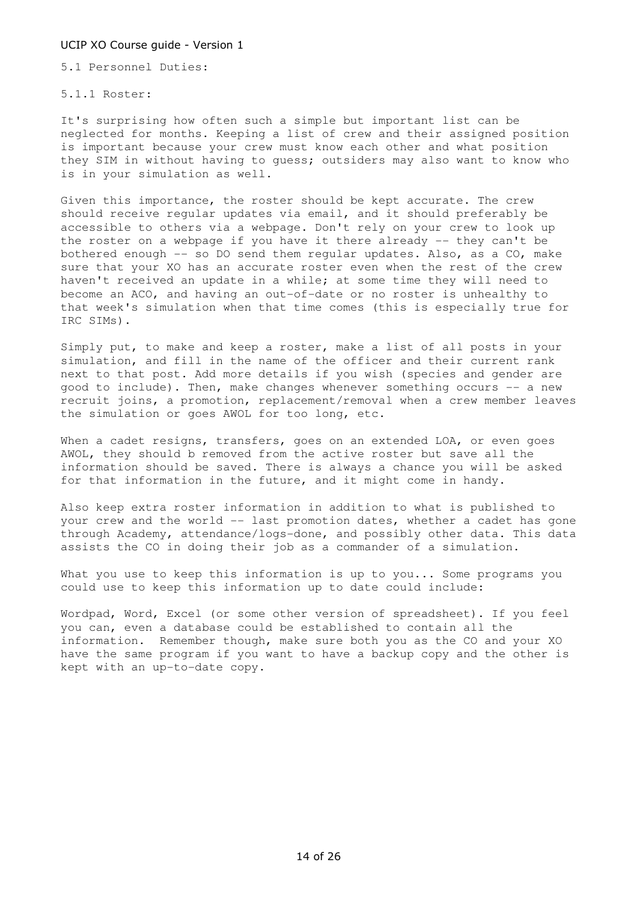5.1 Personnel Duties:

5.1.1 Roster:

It's surprising how often such a simple but important list can be neglected for months. Keeping a list of crew and their assigned position is important because your crew must know each other and what position they SIM in without having to guess; outsiders may also want to know who is in your simulation as well.

Given this importance, the roster should be kept accurate. The crew should receive regular updates via email, and it should preferably be accessible to others via a webpage. Don't rely on your crew to look up the roster on a webpage if you have it there already -- they can't be bothered enough -- so DO send them regular updates. Also, as a CO, make sure that your XO has an accurate roster even when the rest of the crew haven't received an update in a while; at some time they will need to become an ACO, and having an out-of-date or no roster is unhealthy to that week's simulation when that time comes (this is especially true for IRC SIMs).

Simply put, to make and keep a roster, make a list of all posts in your simulation, and fill in the name of the officer and their current rank next to that post. Add more details if you wish (species and gender are good to include). Then, make changes whenever something occurs -- a new recruit joins, a promotion, replacement/removal when a crew member leaves the simulation or goes AWOL for too long, etc.

When a cadet resigns, transfers, goes on an extended LOA, or even goes AWOL, they should b removed from the active roster but save all the information should be saved. There is always a chance you will be asked for that information in the future, and it might come in handy.

Also keep extra roster information in addition to what is published to your crew and the world -- last promotion dates, whether a cadet has gone through Academy, attendance/logs-done, and possibly other data. This data assists the CO in doing their job as a commander of a simulation.

What you use to keep this information is up to you... Some programs you could use to keep this information up to date could include:

Wordpad, Word, Excel (or some other version of spreadsheet). If you feel you can, even a database could be established to contain all the information. Remember though, make sure both you as the CO and your XO have the same program if you want to have a backup copy and the other is kept with an up-to-date copy.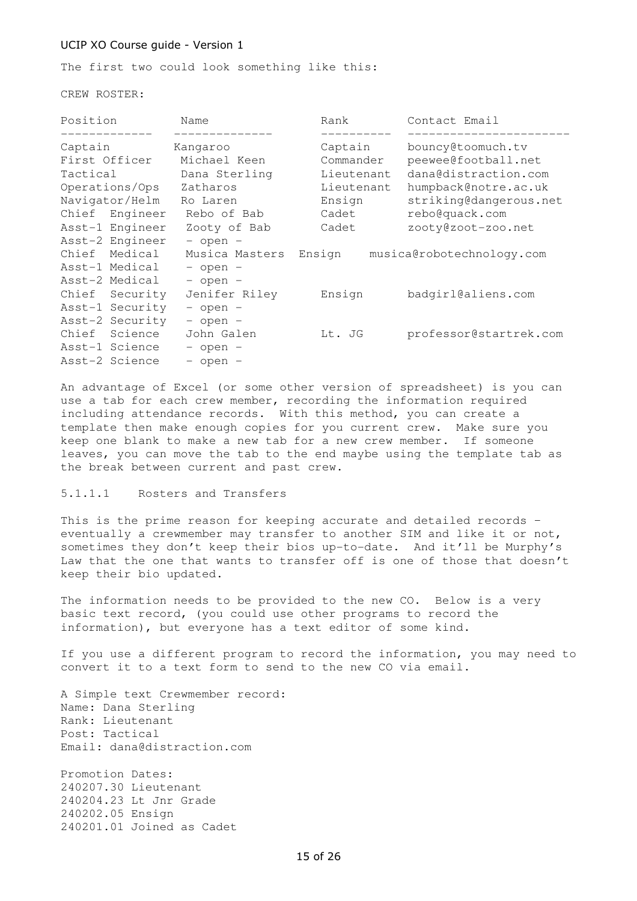The first two could look something like this:

CREW ROSTER:

| Position        | Name           | Rank       | Contact Email                    |
|-----------------|----------------|------------|----------------------------------|
|                 |                |            |                                  |
| Captain         | Kangaroo       | Captain    | bouncy@toomuch.tv                |
| First Officer   | Michael Keen   | Commander  | peewee@football.net              |
| Tactical        | Dana Sterling  | Lieutenant | dana@distraction.com             |
| Operations/Ops  | Zatharos       | Lieutenant | humpback@notre.ac.uk             |
| Navigator/Helm  | Ro Laren       | Ensign     | striking@dangerous.net           |
| Chief Engineer  | Rebo of Bab    | Cadet      | rebo@quack.com                   |
| Asst-1 Engineer | Zooty of Bab   | Cadet      | zooty@zoot-zoo.net               |
| Asst-2 Engineer | $-$ open $-$   |            |                                  |
| Chief Medical   | Musica Masters |            | Ensign musica@robotechnology.com |
| Asst-1 Medical  | $-$ open $-$   |            |                                  |
| Asst-2 Medical  | $-$ open $-$   |            |                                  |
| Chief Security  | Jenifer Riley  | Ensign     | badgirl@aliens.com               |
| Asst-1 Security | $-$ open $-$   |            |                                  |
| Asst-2 Security | $-$ open $-$   |            |                                  |
| Chief Science   | John Galen     | Lt. JG     | professor@startrek.com           |
| Asst-1 Science  | $-$ open $-$   |            |                                  |
| Asst-2 Science  | $-$ open $-$   |            |                                  |

An advantage of Excel (or some other version of spreadsheet) is you can use a tab for each crew member, recording the information required including attendance records. With this method, you can create a template then make enough copies for you current crew. Make sure you keep one blank to make a new tab for a new crew member. If someone leaves, you can move the tab to the end maybe using the template tab as the break between current and past crew.

# 5.1.1.1 Rosters and Transfers

This is the prime reason for keeping accurate and detailed records – eventually a crewmember may transfer to another SIM and like it or not, sometimes they don't keep their bios up-to-date. And it'll be Murphy's Law that the one that wants to transfer off is one of those that doesn't keep their bio updated.

The information needs to be provided to the new CO. Below is a very basic text record, (you could use other programs to record the information), but everyone has a text editor of some kind.

If you use a different program to record the information, you may need to convert it to a text form to send to the new CO via email.

A Simple text Crewmember record: Name: Dana Sterling Rank: Lieutenant Post: Tactical Email: dana@distraction.com

Promotion Dates: 240207.30 Lieutenant 240204.23 Lt Jnr Grade 240202.05 Ensign 240201.01 Joined as Cadet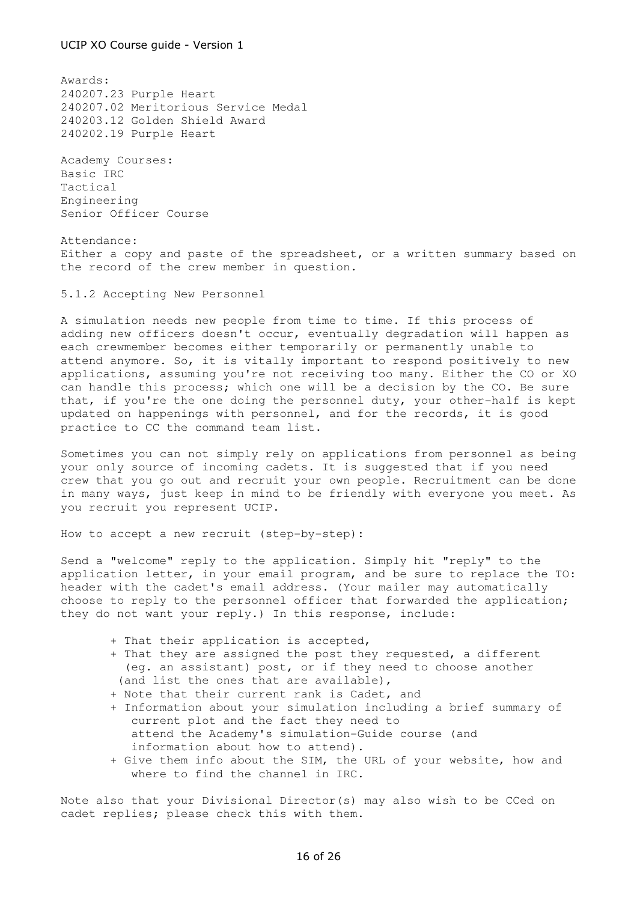Awards: 240207.23 Purple Heart 240207.02 Meritorious Service Medal 240203.12 Golden Shield Award 240202.19 Purple Heart

Academy Courses: Basic IRC Tactical Engineering Senior Officer Course

Attendance: Either a copy and paste of the spreadsheet, or a written summary based on the record of the crew member in question.

5.1.2 Accepting New Personnel

A simulation needs new people from time to time. If this process of adding new officers doesn't occur, eventually degradation will happen as each crewmember becomes either temporarily or permanently unable to attend anymore. So, it is vitally important to respond positively to new applications, assuming you're not receiving too many. Either the CO or XO can handle this process; which one will be a decision by the CO. Be sure that, if you're the one doing the personnel duty, your other-half is kept updated on happenings with personnel, and for the records, it is good practice to CC the command team list.

Sometimes you can not simply rely on applications from personnel as being your only source of incoming cadets. It is suggested that if you need crew that you go out and recruit your own people. Recruitment can be done in many ways, just keep in mind to be friendly with everyone you meet. As you recruit you represent UCIP.

How to accept a new recruit (step-by-step):

Send a "welcome" reply to the application. Simply hit "reply" to the application letter, in your email program, and be sure to replace the TO: header with the cadet's email address. (Your mailer may automatically choose to reply to the personnel officer that forwarded the application; they do not want your reply.) In this response, include:

- + That their application is accepted,
- + That they are assigned the post they requested, a different (eg. an assistant) post, or if they need to choose another (and list the ones that are available),
- + Note that their current rank is Cadet, and
- + Information about your simulation including a brief summary of current plot and the fact they need to attend the Academy's simulation-Guide course (and information about how to attend).
- + Give them info about the SIM, the URL of your website, how and where to find the channel in IRC.

Note also that your Divisional Director(s) may also wish to be CCed on cadet replies; please check this with them.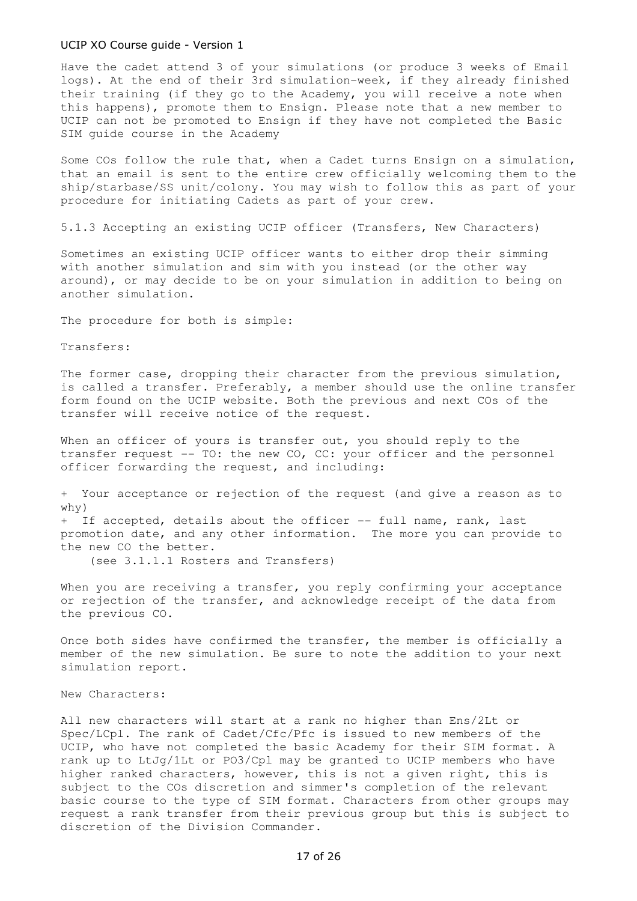Have the cadet attend 3 of your simulations (or produce 3 weeks of Email logs). At the end of their 3rd simulation-week, if they already finished their training (if they go to the Academy, you will receive a note when this happens), promote them to Ensign. Please note that a new member to UCIP can not be promoted to Ensign if they have not completed the Basic SIM guide course in the Academy

Some COs follow the rule that, when a Cadet turns Ensign on a simulation, that an email is sent to the entire crew officially welcoming them to the ship/starbase/SS unit/colony. You may wish to follow this as part of your procedure for initiating Cadets as part of your crew.

5.1.3 Accepting an existing UCIP officer (Transfers, New Characters)

Sometimes an existing UCIP officer wants to either drop their simming with another simulation and sim with you instead (or the other way around), or may decide to be on your simulation in addition to being on another simulation.

The procedure for both is simple:

Transfers:

The former case, dropping their character from the previous simulation, is called a transfer. Preferably, a member should use the online transfer form found on the UCIP website. Both the previous and next COs of the transfer will receive notice of the request.

When an officer of yours is transfer out, you should reply to the transfer request -- TO: the new CO, CC: your officer and the personnel officer forwarding the request, and including:

+ Your acceptance or rejection of the request (and give a reason as to why) + If accepted, details about the officer -- full name, rank, last

promotion date, and any other information. The more you can provide to the new CO the better.

(see 3.1.1.1 Rosters and Transfers)

When you are receiving a transfer, you reply confirming your acceptance or rejection of the transfer, and acknowledge receipt of the data from the previous CO.

Once both sides have confirmed the transfer, the member is officially a member of the new simulation. Be sure to note the addition to your next simulation report.

New Characters:

All new characters will start at a rank no higher than Ens/2Lt or Spec/LCpl. The rank of Cadet/Cfc/Pfc is issued to new members of the UCIP, who have not completed the basic Academy for their SIM format. A rank up to LtJg/1Lt or PO3/Cpl may be granted to UCIP members who have higher ranked characters, however, this is not a given right, this is subject to the COs discretion and simmer's completion of the relevant basic course to the type of SIM format. Characters from other groups may request a rank transfer from their previous group but this is subject to discretion of the Division Commander.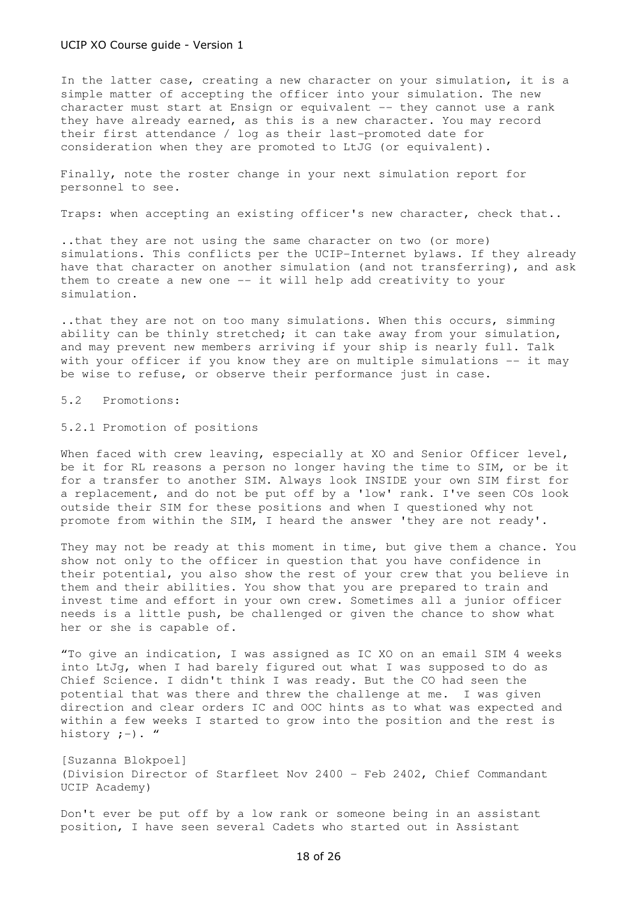In the latter case, creating a new character on your simulation, it is a simple matter of accepting the officer into your simulation. The new character must start at Ensign or equivalent -- they cannot use a rank they have already earned, as this is a new character. You may record their first attendance / log as their last-promoted date for consideration when they are promoted to LtJG (or equivalent).

Finally, note the roster change in your next simulation report for personnel to see.

Traps: when accepting an existing officer's new character, check that..

..that they are not using the same character on two (or more) simulations. This conflicts per the UCIP-Internet bylaws. If they already have that character on another simulation (and not transferring), and ask them to create a new one -- it will help add creativity to your simulation.

..that they are not on too many simulations. When this occurs, simming ability can be thinly stretched; it can take away from your simulation, and may prevent new members arriving if your ship is nearly full. Talk with your officer if you know they are on multiple simulations -- it may be wise to refuse, or observe their performance just in case.

5.2 Promotions:

5.2.1 Promotion of positions

When faced with crew leaving, especially at XO and Senior Officer level, be it for RL reasons a person no longer having the time to SIM, or be it for a transfer to another SIM. Always look INSIDE your own SIM first for a replacement, and do not be put off by a 'low' rank. I've seen COs look outside their SIM for these positions and when I questioned why not promote from within the SIM, I heard the answer 'they are not ready'.

They may not be ready at this moment in time, but give them a chance. You show not only to the officer in question that you have confidence in their potential, you also show the rest of your crew that you believe in them and their abilities. You show that you are prepared to train and invest time and effort in your own crew. Sometimes all a junior officer needs is a little push, be challenged or given the chance to show what her or she is capable of.

"To give an indication, I was assigned as IC XO on an email SIM 4 weeks into LtJg, when I had barely figured out what I was supposed to do as Chief Science. I didn't think I was ready. But the CO had seen the potential that was there and threw the challenge at me. I was given direction and clear orders IC and OOC hints as to what was expected and within a few weeks I started to grow into the position and the rest is history  $;-)$ . "

[Suzanna Blokpoel] (Division Director of Starfleet Nov 2400 - Feb 2402, Chief Commandant UCIP Academy)

Don't ever be put off by a low rank or someone being in an assistant position, I have seen several Cadets who started out in Assistant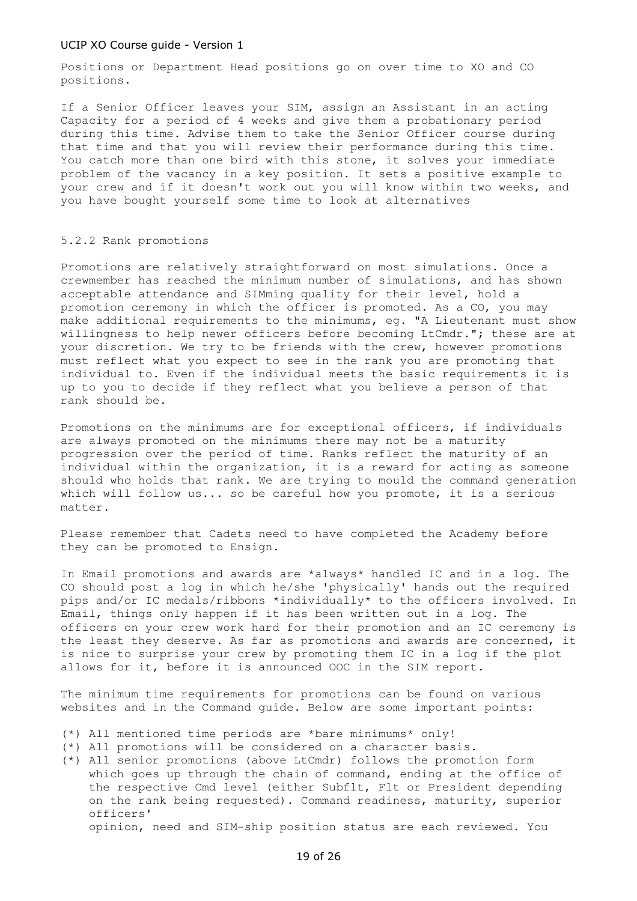Positions or Department Head positions go on over time to XO and CO positions.

If a Senior Officer leaves your SIM, assign an Assistant in an acting Capacity for a period of 4 weeks and give them a probationary period during this time. Advise them to take the Senior Officer course during that time and that you will review their performance during this time. You catch more than one bird with this stone, it solves your immediate problem of the vacancy in a key position. It sets a positive example to your crew and if it doesn't work out you will know within two weeks, and you have bought yourself some time to look at alternatives

# 5.2.2 Rank promotions

Promotions are relatively straightforward on most simulations. Once a crewmember has reached the minimum number of simulations, and has shown acceptable attendance and SIMming quality for their level, hold a promotion ceremony in which the officer is promoted. As a CO, you may make additional requirements to the minimums, eg. "A Lieutenant must show willingness to help newer officers before becoming LtCmdr."; these are at your discretion. We try to be friends with the crew, however promotions must reflect what you expect to see in the rank you are promoting that individual to. Even if the individual meets the basic requirements it is up to you to decide if they reflect what you believe a person of that rank should be.

Promotions on the minimums are for exceptional officers, if individuals are always promoted on the minimums there may not be a maturity progression over the period of time. Ranks reflect the maturity of an individual within the organization, it is a reward for acting as someone should who holds that rank. We are trying to mould the command generation which will follow us... so be careful how you promote, it is a serious matter.

Please remember that Cadets need to have completed the Academy before they can be promoted to Ensign.

In Email promotions and awards are \*always\* handled IC and in a log. The CO should post a log in which he/she 'physically' hands out the required pips and/or IC medals/ribbons \*individually\* to the officers involved. In Email, things only happen if it has been written out in a log. The officers on your crew work hard for their promotion and an IC ceremony is the least they deserve. As far as promotions and awards are concerned, it is nice to surprise your crew by promoting them IC in a log if the plot allows for it, before it is announced OOC in the SIM report.

The minimum time requirements for promotions can be found on various websites and in the Command guide. Below are some important points:

- (\*) All mentioned time periods are \*bare minimums\* only!
- (\*) All promotions will be considered on a character basis.
- (\*) All senior promotions (above LtCmdr) follows the promotion form which goes up through the chain of command, ending at the office of the respective Cmd level (either Subflt, Flt or President depending on the rank being requested). Command readiness, maturity, superior officers' opinion, need and SIM-ship position status are each reviewed. You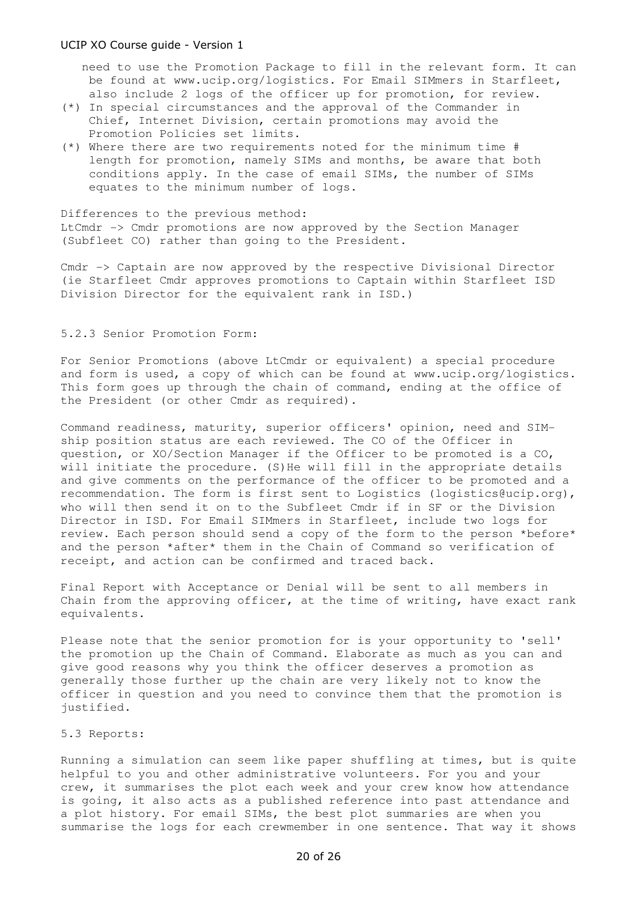need to use the Promotion Package to fill in the relevant form. It can be found at www.ucip.org/logistics. For Email SIMmers in Starfleet, also include 2 logs of the officer up for promotion, for review.

- (\*) In special circumstances and the approval of the Commander in Chief, Internet Division, certain promotions may avoid the Promotion Policies set limits.
- (\*) Where there are two requirements noted for the minimum time # length for promotion, namely SIMs and months, be aware that both conditions apply. In the case of email SIMs, the number of SIMs equates to the minimum number of logs.

Differences to the previous method: LtCmdr -> Cmdr promotions are now approved by the Section Manager (Subfleet CO) rather than going to the President.

Cmdr -> Captain are now approved by the respective Divisional Director (ie Starfleet Cmdr approves promotions to Captain within Starfleet ISD Division Director for the equivalent rank in ISD.)

# 5.2.3 Senior Promotion Form:

For Senior Promotions (above LtCmdr or equivalent) a special procedure and form is used, a copy of which can be found at www.ucip.org/logistics. This form goes up through the chain of command, ending at the office of the President (or other Cmdr as required).

Command readiness, maturity, superior officers' opinion, need and SIMship position status are each reviewed. The CO of the Officer in question, or XO/Section Manager if the Officer to be promoted is a CO, will initiate the procedure. (S) He will fill in the appropriate details and give comments on the performance of the officer to be promoted and a recommendation. The form is first sent to Logistics (logistics@ucip.org), who will then send it on to the Subfleet Cmdr if in SF or the Division Director in ISD. For Email SIMmers in Starfleet, include two logs for review. Each person should send a copy of the form to the person \*before\* and the person \*after\* them in the Chain of Command so verification of receipt, and action can be confirmed and traced back.

Final Report with Acceptance or Denial will be sent to all members in Chain from the approving officer, at the time of writing, have exact rank equivalents.

Please note that the senior promotion for is your opportunity to 'sell' the promotion up the Chain of Command. Elaborate as much as you can and give good reasons why you think the officer deserves a promotion as generally those further up the chain are very likely not to know the officer in question and you need to convince them that the promotion is justified.

# 5.3 Reports:

Running a simulation can seem like paper shuffling at times, but is quite helpful to you and other administrative volunteers. For you and your crew, it summarises the plot each week and your crew know how attendance is going, it also acts as a published reference into past attendance and a plot history. For email SIMs, the best plot summaries are when you summarise the logs for each crewmember in one sentence. That way it shows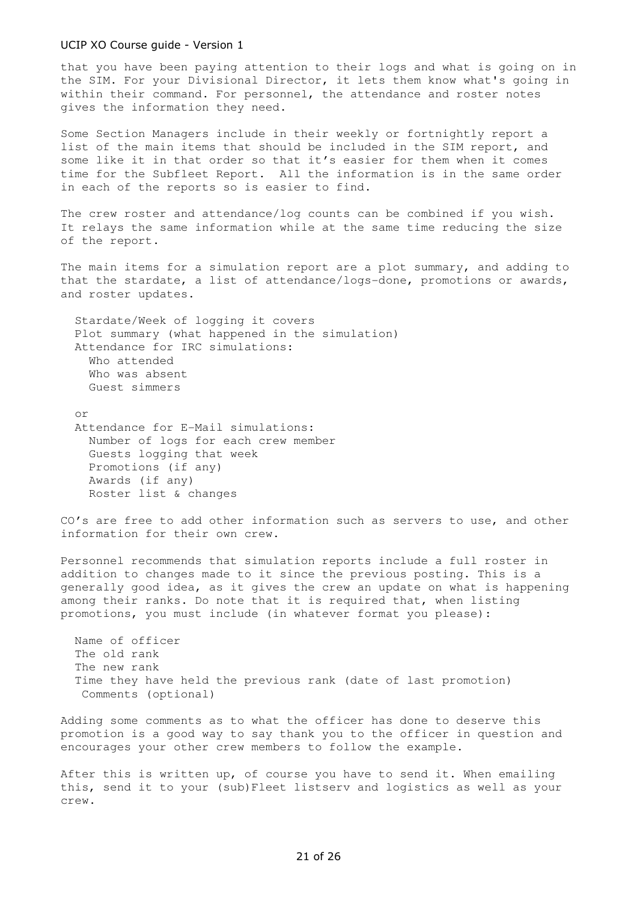that you have been paying attention to their logs and what is going on in the SIM. For your Divisional Director, it lets them know what's going in within their command. For personnel, the attendance and roster notes gives the information they need.

Some Section Managers include in their weekly or fortnightly report a list of the main items that should be included in the SIM report, and some like it in that order so that it's easier for them when it comes time for the Subfleet Report. All the information is in the same order in each of the reports so is easier to find.

The crew roster and attendance/log counts can be combined if you wish. It relays the same information while at the same time reducing the size of the report.

The main items for a simulation report are a plot summary, and adding to that the stardate, a list of attendance/logs-done, promotions or awards, and roster updates.

 Stardate/Week of logging it covers Plot summary (what happened in the simulation) Attendance for IRC simulations: Who attended Who was absent Guest simmers

 or Attendance for E-Mail simulations: Number of logs for each crew member Guests logging that week Promotions (if any) Awards (if any) Roster list & changes

CO's are free to add other information such as servers to use, and other information for their own crew.

Personnel recommends that simulation reports include a full roster in addition to changes made to it since the previous posting. This is a generally good idea, as it gives the crew an update on what is happening among their ranks. Do note that it is required that, when listing promotions, you must include (in whatever format you please):

 Name of officer The old rank The new rank Time they have held the previous rank (date of last promotion) Comments (optional)

Adding some comments as to what the officer has done to deserve this promotion is a good way to say thank you to the officer in question and encourages your other crew members to follow the example.

After this is written up, of course you have to send it. When emailing this, send it to your (sub)Fleet listserv and logistics as well as your crew.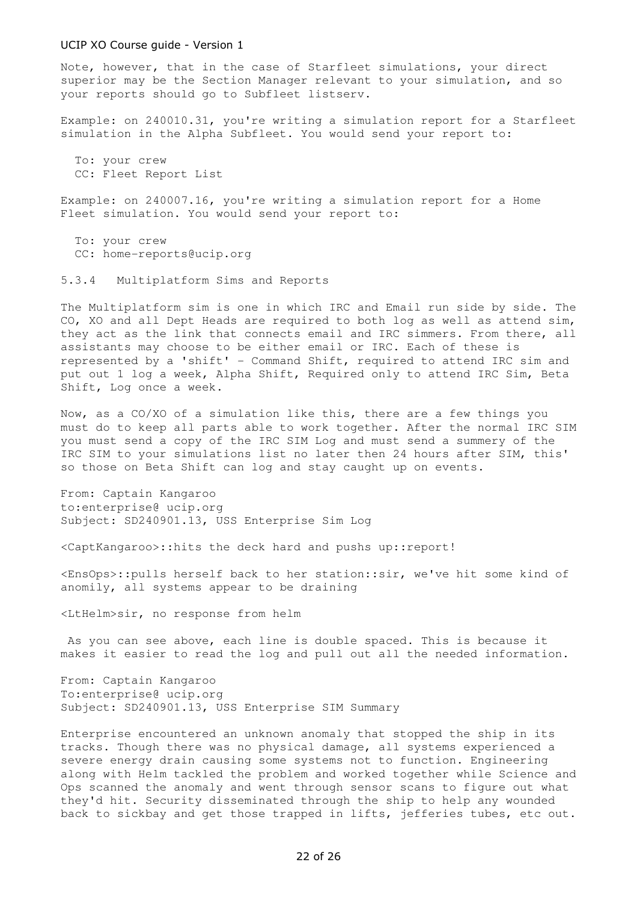Note, however, that in the case of Starfleet simulations, your direct superior may be the Section Manager relevant to your simulation, and so your reports should go to Subfleet listserv.

Example: on 240010.31, you're writing a simulation report for a Starfleet simulation in the Alpha Subfleet. You would send your report to:

 To: your crew CC: Fleet Report List

Example: on 240007.16, you're writing a simulation report for a Home Fleet simulation. You would send your report to:

 To: your crew CC: home-reports@ucip.org

5.3.4 Multiplatform Sims and Reports

The Multiplatform sim is one in which IRC and Email run side by side. The CO, XO and all Dept Heads are required to both log as well as attend sim, they act as the link that connects email and IRC simmers. From there, all assistants may choose to be either email or IRC. Each of these is represented by a 'shift' - Command Shift, required to attend IRC sim and put out 1 log a week, Alpha Shift, Required only to attend IRC Sim, Beta Shift, Log once a week.

Now, as a CO/XO of a simulation like this, there are a few things you must do to keep all parts able to work together. After the normal IRC SIM you must send a copy of the IRC SIM Log and must send a summery of the IRC SIM to your simulations list no later then 24 hours after SIM, this' so those on Beta Shift can log and stay caught up on events.

From: Captain Kangaroo to:enterprise@ ucip.org Subject: SD240901.13, USS Enterprise Sim Log

<CaptKangaroo>::hits the deck hard and pushs up::report!

<EnsOps>::pulls herself back to her station::sir, we've hit some kind of anomily, all systems appear to be draining

<LtHelm>sir, no response from helm

 As you can see above, each line is double spaced. This is because it makes it easier to read the log and pull out all the needed information.

From: Captain Kangaroo To:enterprise@ ucip.org Subject: SD240901.13, USS Enterprise SIM Summary

Enterprise encountered an unknown anomaly that stopped the ship in its tracks. Though there was no physical damage, all systems experienced a severe energy drain causing some systems not to function. Engineering along with Helm tackled the problem and worked together while Science and Ops scanned the anomaly and went through sensor scans to figure out what they'd hit. Security disseminated through the ship to help any wounded back to sickbay and get those trapped in lifts, jefferies tubes, etc out.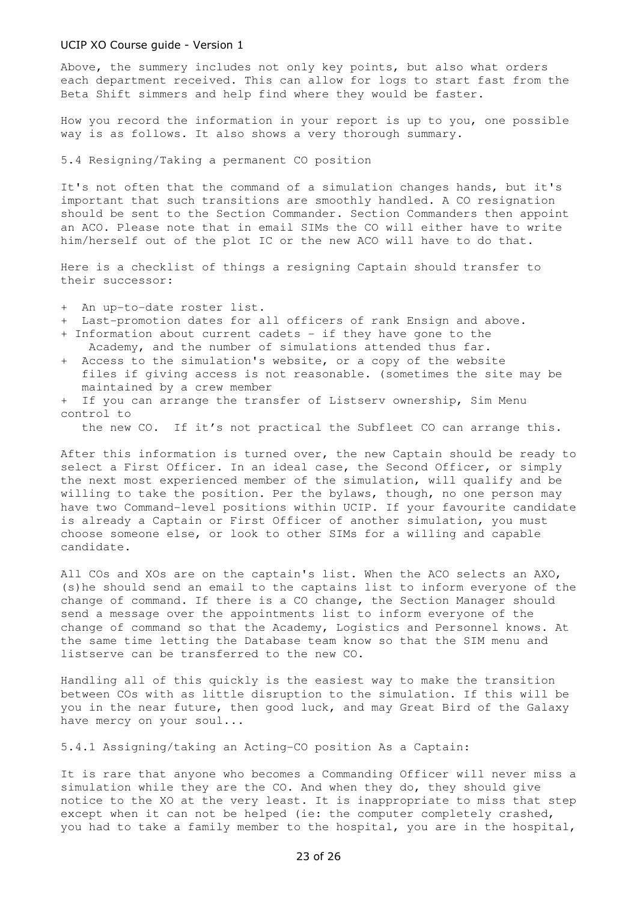Above, the summery includes not only key points, but also what orders each department received. This can allow for logs to start fast from the Beta Shift simmers and help find where they would be faster.

How you record the information in your report is up to you, one possible way is as follows. It also shows a very thorough summary.

5.4 Resigning/Taking a permanent CO position

It's not often that the command of a simulation changes hands, but it's important that such transitions are smoothly handled. A CO resignation should be sent to the Section Commander. Section Commanders then appoint an ACO. Please note that in email SIMs the CO will either have to write him/herself out of the plot IC or the new ACO will have to do that.

Here is a checklist of things a resigning Captain should transfer to their successor:

+ An up-to-date roster list.

- + Last-promotion dates for all officers of rank Ensign and above.
- + Information about current cadets if they have gone to the Academy, and the number of simulations attended thus far.
- + Access to the simulation's website, or a copy of the website files if giving access is not reasonable. (sometimes the site may be maintained by a crew member
- + If you can arrange the transfer of Listserv ownership, Sim Menu control to

the new CO. If it's not practical the Subfleet CO can arrange this.

After this information is turned over, the new Captain should be ready to select a First Officer. In an ideal case, the Second Officer, or simply the next most experienced member of the simulation, will qualify and be willing to take the position. Per the bylaws, though, no one person may have two Command-level positions within UCIP. If your favourite candidate is already a Captain or First Officer of another simulation, you must choose someone else, or look to other SIMs for a willing and capable candidate.

All COs and XOs are on the captain's list. When the ACO selects an AXO, (s)he should send an email to the captains list to inform everyone of the change of command. If there is a CO change, the Section Manager should send a message over the appointments list to inform everyone of the change of command so that the Academy, Logistics and Personnel knows. At the same time letting the Database team know so that the SIM menu and listserve can be transferred to the new CO.

Handling all of this quickly is the easiest way to make the transition between COs with as little disruption to the simulation. If this will be you in the near future, then good luck, and may Great Bird of the Galaxy have mercy on your soul...

5.4.1 Assigning/taking an Acting-CO position As a Captain:

It is rare that anyone who becomes a Commanding Officer will never miss a simulation while they are the CO. And when they do, they should give notice to the XO at the very least. It is inappropriate to miss that step except when it can not be helped (ie: the computer completely crashed, you had to take a family member to the hospital, you are in the hospital,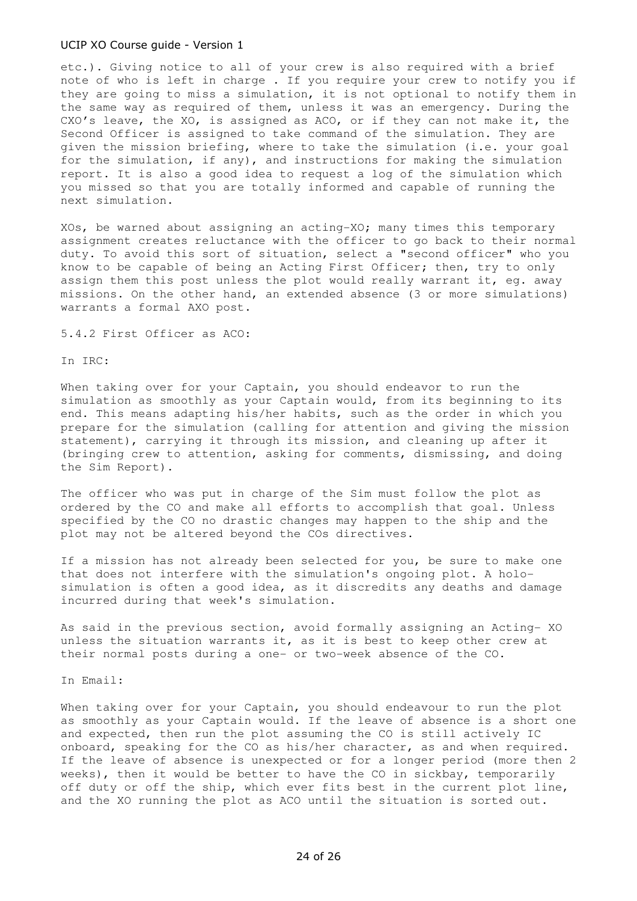etc.). Giving notice to all of your crew is also required with a brief note of who is left in charge . If you require your crew to notify you if they are going to miss a simulation, it is not optional to notify them in the same way as required of them, unless it was an emergency. During the CXO's leave, the XO, is assigned as ACO, or if they can not make it, the Second Officer is assigned to take command of the simulation. They are given the mission briefing, where to take the simulation (i.e. your goal for the simulation, if any), and instructions for making the simulation report. It is also a good idea to request a log of the simulation which you missed so that you are totally informed and capable of running the next simulation.

XOs, be warned about assigning an acting-XO; many times this temporary assignment creates reluctance with the officer to go back to their normal duty. To avoid this sort of situation, select a "second officer" who you know to be capable of being an Acting First Officer; then, try to only assign them this post unless the plot would really warrant it, eg. away missions. On the other hand, an extended absence (3 or more simulations) warrants a formal AXO post.

5.4.2 First Officer as ACO:

In IRC:

When taking over for your Captain, you should endeavor to run the simulation as smoothly as your Captain would, from its beginning to its end. This means adapting his/her habits, such as the order in which you prepare for the simulation (calling for attention and giving the mission statement), carrying it through its mission, and cleaning up after it (bringing crew to attention, asking for comments, dismissing, and doing the Sim Report).

The officer who was put in charge of the Sim must follow the plot as ordered by the CO and make all efforts to accomplish that goal. Unless specified by the CO no drastic changes may happen to the ship and the plot may not be altered beyond the COs directives.

If a mission has not already been selected for you, be sure to make one that does not interfere with the simulation's ongoing plot. A holosimulation is often a good idea, as it discredits any deaths and damage incurred during that week's simulation.

As said in the previous section, avoid formally assigning an Acting- XO unless the situation warrants it, as it is best to keep other crew at their normal posts during a one- or two-week absence of the CO.

In Email:

When taking over for your Captain, you should endeavour to run the plot as smoothly as your Captain would. If the leave of absence is a short one and expected, then run the plot assuming the CO is still actively IC onboard, speaking for the CO as his/her character, as and when required. If the leave of absence is unexpected or for a longer period (more then 2 weeks), then it would be better to have the CO in sickbay, temporarily off duty or off the ship, which ever fits best in the current plot line, and the XO running the plot as ACO until the situation is sorted out.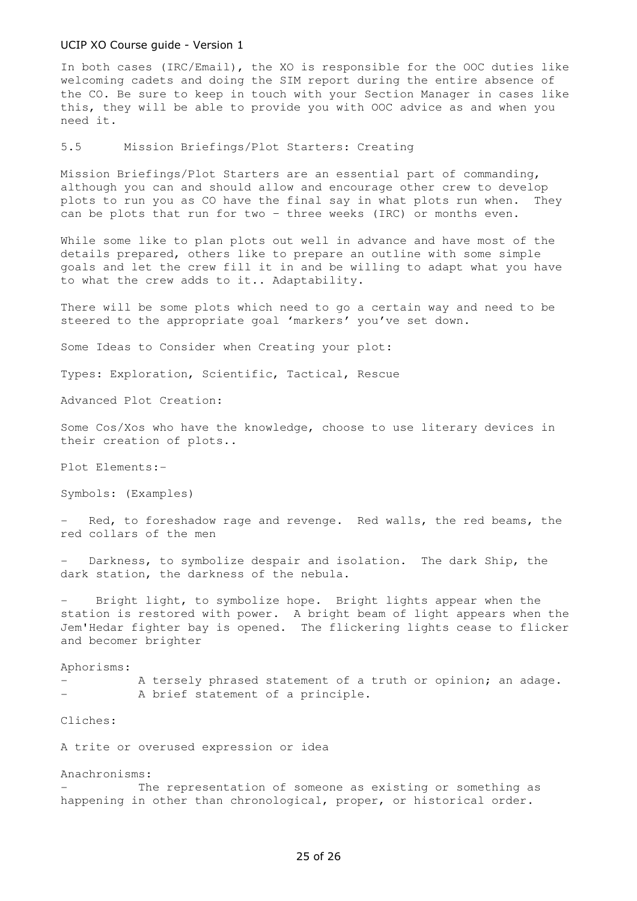In both cases (IRC/Email), the XO is responsible for the OOC duties like welcoming cadets and doing the SIM report during the entire absence of the CO. Be sure to keep in touch with your Section Manager in cases like this, they will be able to provide you with OOC advice as and when you need it.

5.5 Mission Briefings/Plot Starters: Creating

Mission Briefings/Plot Starters are an essential part of commanding, although you can and should allow and encourage other crew to develop plots to run you as CO have the final say in what plots run when. They can be plots that run for two – three weeks (IRC) or months even.

While some like to plan plots out well in advance and have most of the details prepared, others like to prepare an outline with some simple goals and let the crew fill it in and be willing to adapt what you have to what the crew adds to it.. Adaptability.

There will be some plots which need to go a certain way and need to be steered to the appropriate goal 'markers' you've set down.

Some Ideas to Consider when Creating your plot:

Types: Exploration, Scientific, Tactical, Rescue

Advanced Plot Creation:

Some Cos/Xos who have the knowledge, choose to use literary devices in their creation of plots..

Plot Elements:-

Symbols: (Examples)

- Red, to foreshadow rage and revenge. Red walls, the red beams, the red collars of the men

Darkness, to symbolize despair and isolation. The dark Ship, the dark station, the darkness of the nebula.

Bright light, to symbolize hope. Bright lights appear when the station is restored with power. A bright beam of light appears when the Jem'Hedar fighter bay is opened. The flickering lights cease to flicker and becomer brighter

Aphorisms:

A tersely phrased statement of a truth or opinion; an adage. A brief statement of a principle.

## Cliches:

A trite or overused expression or idea

#### Anachronisms:

The representation of someone as existing or something as happening in other than chronological, proper, or historical order.